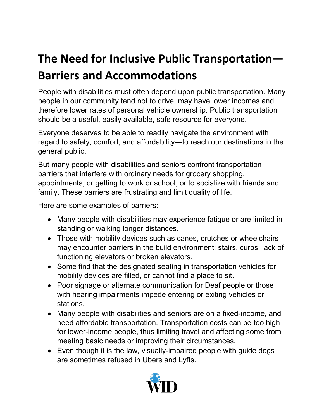## **The Need for Inclusive Public Transportation— Barriers and Accommodations**

People with disabilities must often depend upon public transportation. Many people in our community tend not to drive, may have lower incomes and therefore lower rates of personal vehicle ownership. Public transportation should be a useful, easily available, safe resource for everyone.

Everyone deserves to be able to readily navigate the environment with regard to safety, comfort, and affordability—to reach our destinations in the general public.

But many people with disabilities and seniors confront transportation barriers that interfere with ordinary needs for grocery shopping, appointments, or getting to work or school, or to socialize with friends and family. These barriers are frustrating and limit quality of life.

Here are some examples of barriers:

- Many people with disabilities may experience fatigue or are limited in standing or walking longer distances.
- Those with mobility devices such as canes, crutches or wheelchairs may encounter barriers in the build environment: stairs, curbs, lack of functioning elevators or broken elevators.
- Some find that the designated seating in transportation vehicles for mobility devices are filled, or cannot find a place to sit.
- Poor signage or alternate communication for Deaf people or those with hearing impairments impede entering or exiting vehicles or stations.
- Many people with disabilities and seniors are on a fixed-income, and need affordable transportation. Transportation costs can be too high for lower-income people, thus limiting travel and affecting some from meeting basic needs or improving their circumstances.
- Even though it is the law, visually-impaired people with guide dogs are sometimes refused in Ubers and Lyfts.

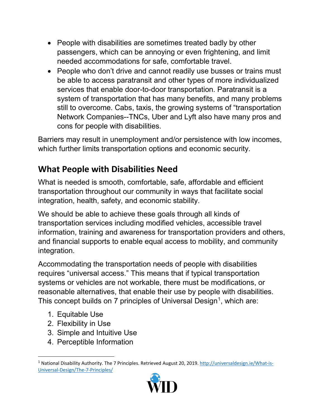- People with disabilities are sometimes treated badly by other passengers, which can be annoying or even frightening, and limit needed accommodations for safe, comfortable travel.
- People who don't drive and cannot readily use busses or trains must be able to access paratransit and other types of more individualized services that enable door-to-door transportation. Paratransit is a system of transportation that has many benefits, and many problems still to overcome. Cabs, taxis, the growing systems of "transportation Network Companies--TNCs, Uber and Lyft also have many pros and cons for people with disabilities.

Barriers may result in unemployment and/or persistence with low incomes, which further limits transportation options and economic security.

## **What People with Disabilities Need**

What is needed is smooth, comfortable, safe, affordable and efficient transportation throughout our community in ways that facilitate social integration, health, safety, and economic stability.

We should be able to achieve these goals through all kinds of transportation services including modified vehicles, accessible travel information, training and awareness for transportation providers and others, and financial supports to enable equal access to mobility, and community integration.

Accommodating the transportation needs of people with disabilities requires "universal access." This means that if typical transportation systems or vehicles are not workable, there must be modifications, or reasonable alternatives, that enable their use by people with disabilities. This concept builds on 7 principles of Universal Design<sup>[1](#page-1-0)</sup>, which are:

- 1. Equitable Use
- 2. Flexibility in Use
- 3. Simple and Intuitive Use
- 4. Perceptible Information

<span id="page-1-0"></span><sup>&</sup>lt;sup>1</sup> National Disability Authority. The 7 Principles. Retrieved August 20, 2019. [http://universaldesign.ie/What-is-](http://universaldesign.ie/What-is-Universal-Design/The-7-Principles/)[Universal-Design/The-7-Principles/](http://universaldesign.ie/What-is-Universal-Design/The-7-Principles/)